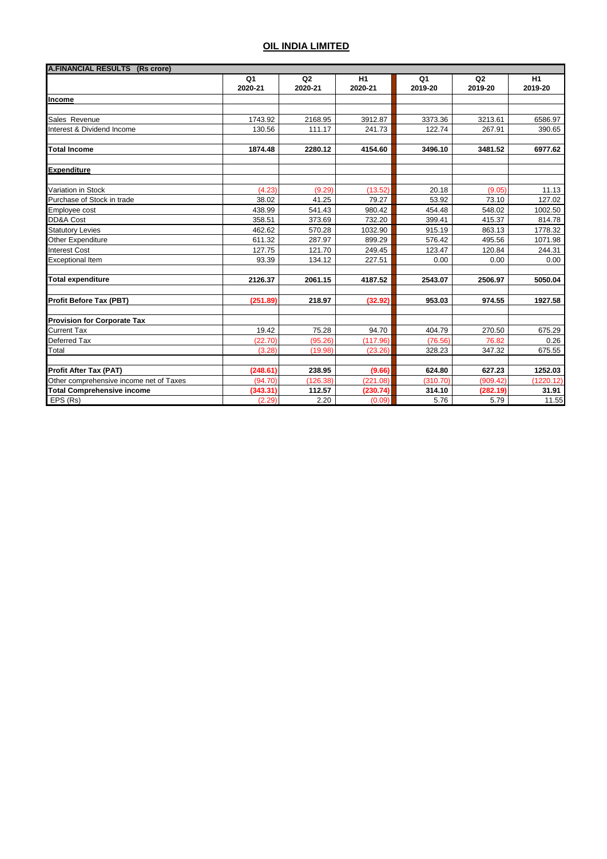| A.FINANCIAL RESULTS (Rs crore)          |                |          |          |          |                |           |
|-----------------------------------------|----------------|----------|----------|----------|----------------|-----------|
|                                         | Q <sub>1</sub> | Q2       | H1       | Q1       | Q <sub>2</sub> | H1        |
|                                         | 2020-21        | 2020-21  | 2020-21  | 2019-20  | 2019-20        | 2019-20   |
| Income                                  |                |          |          |          |                |           |
|                                         |                |          |          |          |                |           |
| Sales Revenue                           | 1743.92        | 2168.95  | 3912.87  | 3373.36  | 3213.61        | 6586.97   |
| Interest & Dividend Income              | 130.56         | 111.17   | 241.73   | 122.74   | 267.91         | 390.65    |
| <b>Total Income</b>                     | 1874.48        | 2280.12  | 4154.60  | 3496.10  | 3481.52        | 6977.62   |
| <b>Expenditure</b>                      |                |          |          |          |                |           |
| Variation in Stock                      | (4.23)         | (9.29)   | (13.52)  | 20.18    | (9.05)         | 11.13     |
| Purchase of Stock in trade              | 38.02          | 41.25    | 79.27    | 53.92    | 73.10          | 127.02    |
| Employee cost                           | 438.99         | 541.43   | 980.42   | 454.48   | 548.02         | 1002.50   |
| DD&A Cost                               | 358.51         | 373.69   | 732.20   | 399.41   | 415.37         | 814.78    |
| <b>Statutory Levies</b>                 | 462.62         | 570.28   | 1032.90  | 915.19   | 863.13         | 1778.32   |
| Other Expenditure                       | 611.32         | 287.97   | 899.29   | 576.42   | 495.56         | 1071.98   |
| <b>Interest Cost</b>                    | 127.75         | 121.70   | 249.45   | 123.47   | 120.84         | 244.31    |
| <b>Exceptional Item</b>                 | 93.39          | 134.12   | 227.51   | 0.00     | 0.00           | 0.00      |
| <b>Total expenditure</b>                | 2126.37        | 2061.15  | 4187.52  | 2543.07  | 2506.97        | 5050.04   |
| <b>Profit Before Tax (PBT)</b>          | (251.89)       | 218.97   | (32.92)  | 953.03   | 974.55         | 1927.58   |
| <b>Provision for Corporate Tax</b>      |                |          |          |          |                |           |
| <b>Current Tax</b>                      | 19.42          | 75.28    | 94.70    | 404.79   | 270.50         | 675.29    |
| <b>Deferred Tax</b>                     | (22.70)        | (95.26)  | (117.96) | (76.56)  | 76.82          | 0.26      |
| Total                                   | (3.28)         | (19.98)  | (23.26)  | 328.23   | 347.32         | 675.55    |
| <b>Profit After Tax (PAT)</b>           | (248.61)       | 238.95   | (9.66)   | 624.80   | 627.23         | 1252.03   |
| Other comprehensive income net of Taxes | (94.70)        | (126.38) | (221.08) | (310.70) | (909.42)       | (1220.12) |
| <b>Total Comprehensive income</b>       | (343.31)       | 112.57   | (230.74) | 314.10   | (282.19)       | 31.91     |
| EPS (Rs)                                | (2.29)         | 2.20     | (0.09)   | 5.76     | 5.79           | 11.55     |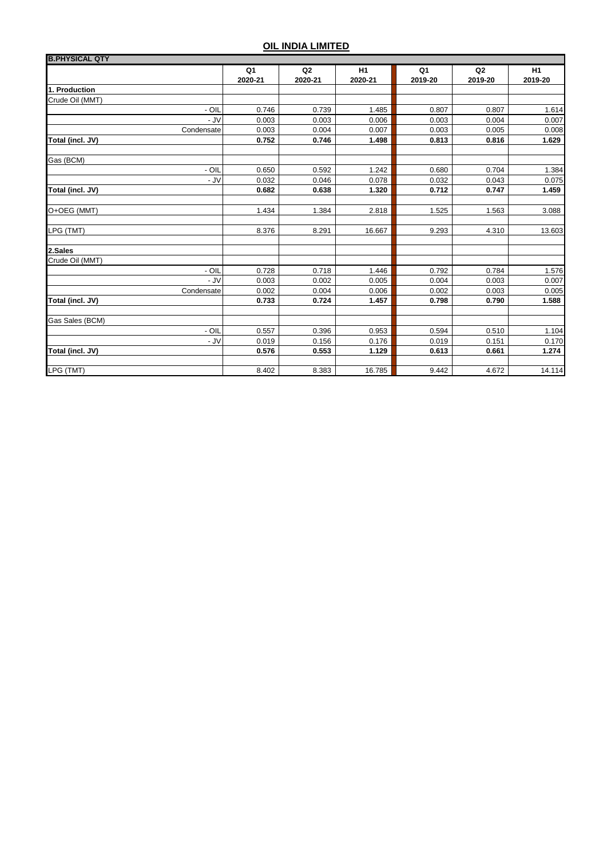| <b>B.PHYSICAL QTY</b> |               |                           |                           |               |                           |               |
|-----------------------|---------------|---------------------------|---------------------------|---------------|---------------------------|---------------|
|                       | Q1<br>2020-21 | Q <sub>2</sub><br>2020-21 | H <sub>1</sub><br>2020-21 | Q1<br>2019-20 | Q <sub>2</sub><br>2019-20 | H1<br>2019-20 |
| 1. Production         |               |                           |                           |               |                           |               |
| Crude Oil (MMT)       |               |                           |                           |               |                           |               |
| - OIL                 | 0.746         | 0.739                     | 1.485                     | 0.807         | 0.807                     | 1.614         |
| - JV                  | 0.003         | 0.003                     | 0.006                     | 0.003         | 0.004                     | 0.007         |
| Condensate            | 0.003         | 0.004                     | 0.007                     | 0.003         | 0.005                     | 0.008         |
| Total (incl. JV)      | 0.752         | 0.746                     | 1.498                     | 0.813         | 0.816                     | 1.629         |
| Gas (BCM)             |               |                           |                           |               |                           |               |
| - OIL                 | 0.650         | 0.592                     | 1.242                     | 0.680         | 0.704                     | 1.384         |
| $-JV$                 | 0.032         | 0.046                     | 0.078                     | 0.032         | 0.043                     | 0.075         |
| Total (incl. JV)      | 0.682         | 0.638                     | 1.320                     | 0.712         | 0.747                     | 1.459         |
| O+OEG (MMT)           | 1.434         | 1.384                     | 2.818                     | 1.525         | 1.563                     | 3.088         |
|                       |               |                           |                           |               |                           |               |
| LPG (TMT)             | 8.376         | 8.291                     | 16.667                    | 9.293         | 4.310                     | 13.603        |
| 2.Sales               |               |                           |                           |               |                           |               |
| Crude Oil (MMT)       |               |                           |                           |               |                           |               |
| - OIL                 | 0.728         | 0.718                     | 1.446                     | 0.792         | 0.784                     | 1.576         |
| - JV                  | 0.003         | 0.002                     | 0.005                     | 0.004         | 0.003                     | 0.007         |
| Condensate            | 0.002         | 0.004                     | 0.006                     | 0.002         | 0.003                     | 0.005         |
| Total (incl. JV)      | 0.733         | 0.724                     | 1.457                     | 0.798         | 0.790                     | 1.588         |
| Gas Sales (BCM)       |               |                           |                           |               |                           |               |
| - OIL                 | 0.557         | 0.396                     | 0.953                     | 0.594         | 0.510                     | 1.104         |
| $-JV$                 | 0.019         | 0.156                     | 0.176                     | 0.019         | 0.151                     | 0.170         |
| Total (incl. JV)      | 0.576         | 0.553                     | 1.129                     | 0.613         | 0.661                     | 1.274         |
| LPG (TMT)             | 8.402         | 8.383                     | 16.785                    | 9.442         | 4.672                     | 14.114        |
|                       |               |                           |                           |               |                           |               |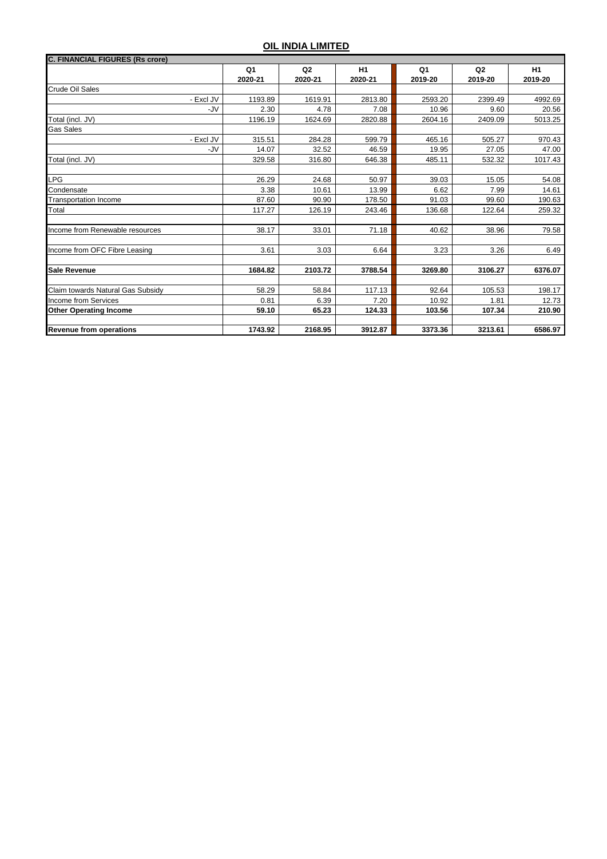| <b>C. FINANCIAL FIGURES (Rs crore)</b> |                           |                           |               |               |                           |               |
|----------------------------------------|---------------------------|---------------------------|---------------|---------------|---------------------------|---------------|
|                                        | Q <sub>1</sub><br>2020-21 | Q <sub>2</sub><br>2020-21 | H1<br>2020-21 | Q1<br>2019-20 | Q <sub>2</sub><br>2019-20 | H1<br>2019-20 |
| Crude Oil Sales                        |                           |                           |               |               |                           |               |
| - Excl JV                              | 1193.89                   | 1619.91                   | 2813.80       | 2593.20       | 2399.49                   | 4992.69       |
| -JV                                    | 2.30                      | 4.78                      | 7.08          | 10.96         | 9.60                      | 20.56         |
| Total (incl. JV)                       | 1196.19                   | 1624.69                   | 2820.88       | 2604.16       | 2409.09                   | 5013.25       |
| <b>Gas Sales</b>                       |                           |                           |               |               |                           |               |
| - Excl JV                              | 315.51                    | 284.28                    | 599.79        | 465.16        | 505.27                    | 970.43        |
| -JV                                    | 14.07                     | 32.52                     | 46.59         | 19.95         | 27.05                     | 47.00         |
| Total (incl. JV)                       | 329.58                    | 316.80                    | 646.38        | 485.11        | 532.32                    | 1017.43       |
|                                        |                           |                           |               |               |                           |               |
| LPG                                    | 26.29                     | 24.68                     | 50.97         | 39.03         | 15.05                     | 54.08         |
| Condensate                             | 3.38                      | 10.61                     | 13.99         | 6.62          | 7.99                      | 14.61         |
| <b>Transportation Income</b>           | 87.60                     | 90.90                     | 178.50        | 91.03         | 99.60                     | 190.63        |
| Total                                  | 117.27                    | 126.19                    | 243.46        | 136.68        | 122.64                    | 259.32        |
|                                        |                           |                           |               |               |                           |               |
| Income from Renewable resources        | 38.17                     | 33.01                     | 71.18         | 40.62         | 38.96                     | 79.58         |
|                                        |                           |                           |               |               |                           |               |
| Income from OFC Fibre Leasing          | 3.61                      | 3.03                      | 6.64          | 3.23          | 3.26                      | 6.49          |
|                                        |                           |                           |               |               |                           |               |
| <b>Sale Revenue</b>                    | 1684.82                   | 2103.72                   | 3788.54       | 3269.80       | 3106.27                   | 6376.07       |
| Claim towards Natural Gas Subsidy      | 58.29                     | 58.84                     | 117.13        | 92.64         | 105.53                    | 198.17        |
| <b>Income from Services</b>            | 0.81                      | 6.39                      | 7.20          | 10.92         | 1.81                      | 12.73         |
| <b>Other Operating Income</b>          | 59.10                     | 65.23                     | 124.33        | 103.56        | 107.34                    | 210.90        |
|                                        |                           |                           |               |               |                           |               |
| <b>Revenue from operations</b>         | 1743.92                   | 2168.95                   | 3912.87       | 3373.36       | 3213.61                   | 6586.97       |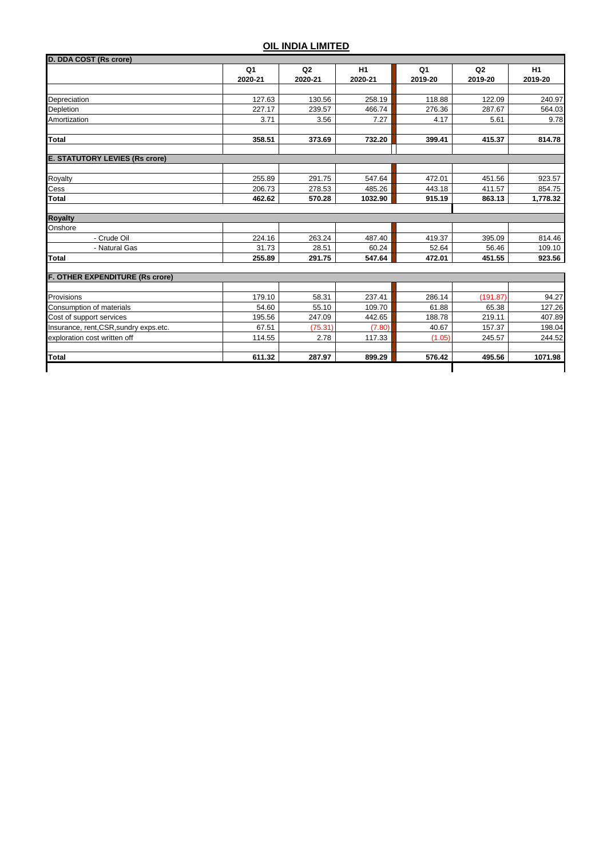| D. DDA COST (Rs crore)                 |                           |               |               |                           |                           |                           |
|----------------------------------------|---------------------------|---------------|---------------|---------------------------|---------------------------|---------------------------|
|                                        | Q <sub>1</sub><br>2020-21 | Q2<br>2020-21 | H1<br>2020-21 | Q <sub>1</sub><br>2019-20 | Q <sub>2</sub><br>2019-20 | H <sub>1</sub><br>2019-20 |
|                                        |                           |               |               |                           |                           |                           |
| <b>Depreciation</b>                    | 127.63                    | 130.56        | 258.19        | 118.88                    | 122.09                    | 240.97                    |
| Depletion                              | 227.17                    | 239.57        | 466.74        | 276.36                    | 287.67                    | 564.03                    |
| Amortization                           | 3.71                      | 3.56          | 7.27          | 4.17                      | 5.61                      | 9.78                      |
| <b>Total</b>                           | 358.51                    | 373.69        | 732.20        | 399.41                    | 415.37                    | 814.78                    |
| <b>E. STATUTORY LEVIES (Rs crore)</b>  |                           |               |               |                           |                           |                           |
| Royalty                                | 255.89                    | 291.75        | 547.64        | 472.01                    | 451.56                    | 923.57                    |
| Cess                                   | 206.73                    | 278.53        | 485.26        | 443.18                    | 411.57                    | 854.75                    |
| <b>Total</b>                           | 462.62                    | 570.28        | 1032.90       | 915.19                    | 863.13                    | 1,778.32                  |
| <b>Royalty</b>                         |                           |               |               |                           |                           |                           |
| Onshore                                |                           |               |               |                           |                           |                           |
| - Crude Oil                            | 224.16                    | 263.24        | 487.40        | 419.37                    | 395.09                    | 814.46                    |
| - Natural Gas                          | 31.73                     | 28.51         | 60.24         | 52.64                     | 56.46                     | 109.10                    |
| <b>Total</b>                           | 255.89                    | 291.75        | 547.64        | 472.01                    | 451.55                    | 923.56                    |
| F. OTHER EXPENDITURE (Rs crore)        |                           |               |               |                           |                           |                           |
|                                        |                           |               |               |                           |                           |                           |
| Provisions                             | 179.10                    | 58.31         | 237.41        | 286.14                    | (191.87)                  | 94.27                     |
| Consumption of materials               | 54.60                     | 55.10         | 109.70        | 61.88                     | 65.38                     | 127.26                    |
| Cost of support services               | 195.56                    | 247.09        | 442.65        | 188.78                    | 219.11                    | 407.89                    |
| Insurance, rent, CSR, sundry exps.etc. | 67.51                     | (75.31)       | (7.80)        | 40.67                     | 157.37                    | 198.04                    |
| exploration cost written off           | 114.55                    | 2.78          | 117.33        | (1.05)                    | 245.57                    | 244.52                    |
| <b>Total</b>                           | 611.32                    | 287.97        | 899.29        | 576.42                    | 495.56                    | 1071.98                   |